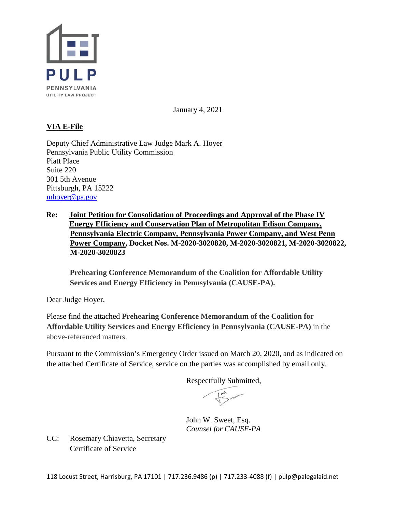

January 4, 2021

## **VIA E-File**

Deputy Chief Administrative Law Judge Mark A. Hoyer Pennsylvania Public Utility Commission Piatt Place Suite 220 301 5th Avenue Pittsburgh, PA 15222 [mhoyer@pa.gov](mailto:mhoyer@pa.gov)

**Re: Joint Petition for Consolidation of Proceedings and Approval of the Phase IV Energy Efficiency and Conservation Plan of Metropolitan Edison Company, Pennsylvania Electric Company, Pennsylvania Power Company, and West Penn Power Company, Docket Nos. M-2020-3020820, M-2020-3020821, M-2020-3020822, M-2020-3020823** 

**Prehearing Conference Memorandum of the Coalition for Affordable Utility Services and Energy Efficiency in Pennsylvania (CAUSE-PA).**

Dear Judge Hoyer,

Please find the attached **Prehearing Conference Memorandum of the Coalition for Affordable Utility Services and Energy Efficiency in Pennsylvania (CAUSE-PA)** in the above-referenced matters.

Pursuant to the Commission's Emergency Order issued on March 20, 2020, and as indicated on the attached Certificate of Service, service on the parties was accomplished by email only.

Respectfully Submitted,

John W. Sweet, Esq. *Counsel for CAUSE-PA* 

CC: Rosemary Chiavetta, Secretary Certificate of Service

118 Locust Street, Harrisburg, PA 17101 | 717.236.9486 (p) | 717.233-4088 (f) [| pulp@palegalaid.net](mailto:pulp@palegalaid.net)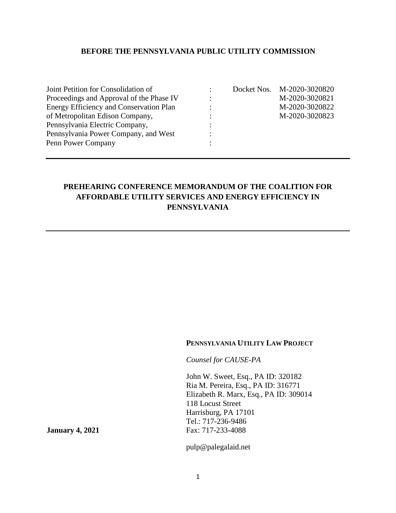## **BEFORE THE PENNSYLVANIA PUBLIC UTILITY COMMISSION**

| Joint Petition for Consolidation of            |           | Docket Nos. M-2020-3020820 |
|------------------------------------------------|-----------|----------------------------|
| Proceedings and Approval of the Phase IV       | $\bullet$ | M-2020-3020821             |
| <b>Energy Efficiency and Conservation Plan</b> | $\cdot$   | M-2020-3020822             |
| of Metropolitan Edison Company,                |           | M-2020-3020823             |
| Pennsylvania Electric Company,                 |           |                            |
| Pennsylvania Power Company, and West           |           |                            |
| Penn Power Company                             |           |                            |

| Docket Nos. | M-2020-3020820 |
|-------------|----------------|
|             | M-2020-3020821 |
|             | M-2020-3020822 |
|             | M-2020-3020823 |
|             |                |
|             |                |
|             |                |

# **PREHEARING CONFERENCE MEMORANDUM OF THE COALITION FOR AFFORDABLE UTILITY SERVICES AND ENERGY EFFICIENCY IN PENNSYLVANIA**

#### **PENNSYLVANIA UTILITY LAW PROJECT**

*Counsel for CAUSE-PA*

John W. Sweet, Esq., PA ID: 320182 Ria M. Pereira, Esq., PA ID: 316771 Elizabeth R. Marx, Esq., PA ID: 309014 118 Locust Street Harrisburg, PA 17101 Tel.: 717-236-9486 **January 4, 2021** Fax: 717-233-4088

pulp@palegalaid.net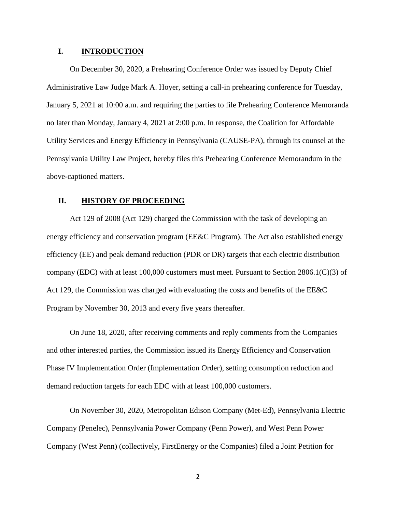## **I. INTRODUCTION**

On December 30, 2020, a Prehearing Conference Order was issued by Deputy Chief Administrative Law Judge Mark A. Hoyer, setting a call-in prehearing conference for Tuesday, January 5, 2021 at 10:00 a.m. and requiring the parties to file Prehearing Conference Memoranda no later than Monday, January 4, 2021 at 2:00 p.m. In response, the Coalition for Affordable Utility Services and Energy Efficiency in Pennsylvania (CAUSE-PA), through its counsel at the Pennsylvania Utility Law Project, hereby files this Prehearing Conference Memorandum in the above-captioned matters.

## **II. HISTORY OF PROCEEDING**

Act 129 of 2008 (Act 129) charged the Commission with the task of developing an energy efficiency and conservation program (EE&C Program). The Act also established energy efficiency (EE) and peak demand reduction (PDR or DR) targets that each electric distribution company (EDC) with at least 100,000 customers must meet. Pursuant to Section 2806.1(C)(3) of Act 129, the Commission was charged with evaluating the costs and benefits of the EE&C Program by November 30, 2013 and every five years thereafter.

On June 18, 2020, after receiving comments and reply comments from the Companies and other interested parties, the Commission issued its Energy Efficiency and Conservation Phase IV Implementation Order (Implementation Order), setting consumption reduction and demand reduction targets for each EDC with at least 100,000 customers.

On November 30, 2020, Metropolitan Edison Company (Met-Ed), Pennsylvania Electric Company (Penelec), Pennsylvania Power Company (Penn Power), and West Penn Power Company (West Penn) (collectively, FirstEnergy or the Companies) filed a Joint Petition for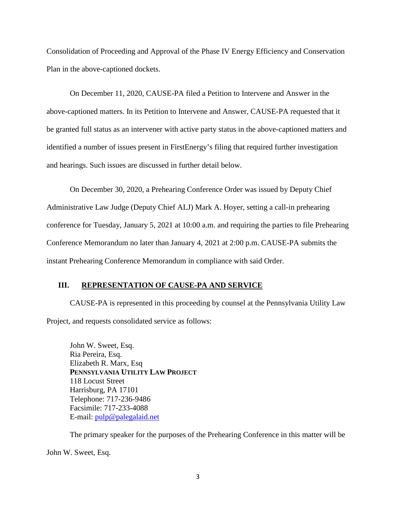Consolidation of Proceeding and Approval of the Phase IV Energy Efficiency and Conservation Plan in the above-captioned dockets.

On December 11, 2020, CAUSE-PA filed a Petition to Intervene and Answer in the above-captioned matters. In its Petition to Intervene and Answer, CAUSE-PA requested that it be granted full status as an intervener with active party status in the above-captioned matters and identified a number of issues present in FirstEnergy's filing that required further investigation and hearings. Such issues are discussed in further detail below.

On December 30, 2020, a Prehearing Conference Order was issued by Deputy Chief Administrative Law Judge (Deputy Chief ALJ) Mark A. Hoyer, setting a call-in prehearing conference for Tuesday, January 5, 2021 at 10:00 a.m. and requiring the parties to file Prehearing Conference Memorandum no later than January 4, 2021 at 2:00 p.m. CAUSE-PA submits the instant Prehearing Conference Memorandum in compliance with said Order.

## **III. REPRESENTATION OF CAUSE-PA AND SERVICE**

CAUSE-PA is represented in this proceeding by counsel at the Pennsylvania Utility Law Project, and requests consolidated service as follows:

John W. Sweet, Esq. Ria Pereira, Esq. Elizabeth R. Marx, Esq **PENNSYLVANIA UTILITY LAW PROJECT** 118 Locust Street Harrisburg, PA 17101 Telephone: 717-236-9486 Facsimile: 717-233-4088 E-mail: [pulp@palegalaid.net](mailto:pulp@palegalaid.net)

The primary speaker for the purposes of the Prehearing Conference in this matter will be

John W. Sweet, Esq.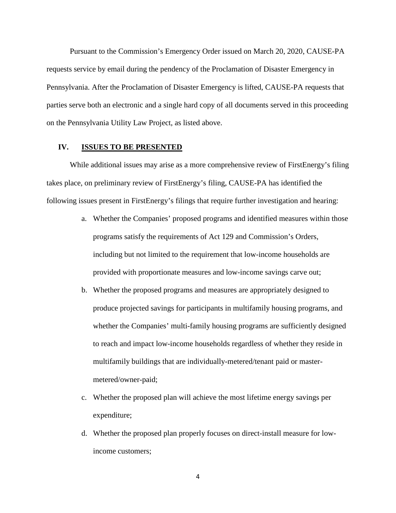Pursuant to the Commission's Emergency Order issued on March 20, 2020, CAUSE-PA requests service by email during the pendency of the Proclamation of Disaster Emergency in Pennsylvania. After the Proclamation of Disaster Emergency is lifted, CAUSE-PA requests that parties serve both an electronic and a single hard copy of all documents served in this proceeding on the Pennsylvania Utility Law Project, as listed above.

## **IV. ISSUES TO BE PRESENTED**

While additional issues may arise as a more comprehensive review of FirstEnergy's filing takes place, on preliminary review of FirstEnergy's filing, CAUSE-PA has identified the following issues present in FirstEnergy's filings that require further investigation and hearing:

- a. Whether the Companies' proposed programs and identified measures within those programs satisfy the requirements of Act 129 and Commission's Orders, including but not limited to the requirement that low-income households are provided with proportionate measures and low-income savings carve out;
- b. Whether the proposed programs and measures are appropriately designed to produce projected savings for participants in multifamily housing programs, and whether the Companies' multi-family housing programs are sufficiently designed to reach and impact low-income households regardless of whether they reside in multifamily buildings that are individually-metered/tenant paid or mastermetered/owner-paid;
- c. Whether the proposed plan will achieve the most lifetime energy savings per expenditure;
- d. Whether the proposed plan properly focuses on direct-install measure for lowincome customers;

4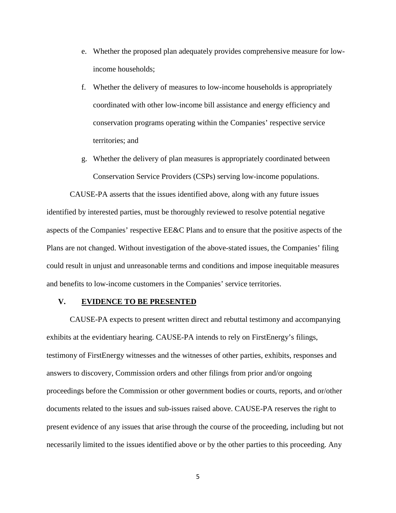- e. Whether the proposed plan adequately provides comprehensive measure for lowincome households;
- f. Whether the delivery of measures to low-income households is appropriately coordinated with other low-income bill assistance and energy efficiency and conservation programs operating within the Companies' respective service territories; and
- g. Whether the delivery of plan measures is appropriately coordinated between Conservation Service Providers (CSPs) serving low-income populations.

CAUSE-PA asserts that the issues identified above, along with any future issues identified by interested parties, must be thoroughly reviewed to resolve potential negative aspects of the Companies' respective EE&C Plans and to ensure that the positive aspects of the Plans are not changed. Without investigation of the above-stated issues, the Companies' filing could result in unjust and unreasonable terms and conditions and impose inequitable measures and benefits to low-income customers in the Companies' service territories.

#### **V. EVIDENCE TO BE PRESENTED**

CAUSE-PA expects to present written direct and rebuttal testimony and accompanying exhibits at the evidentiary hearing. CAUSE-PA intends to rely on FirstEnergy's filings, testimony of FirstEnergy witnesses and the witnesses of other parties, exhibits, responses and answers to discovery, Commission orders and other filings from prior and/or ongoing proceedings before the Commission or other government bodies or courts, reports, and or/other documents related to the issues and sub-issues raised above. CAUSE-PA reserves the right to present evidence of any issues that arise through the course of the proceeding, including but not necessarily limited to the issues identified above or by the other parties to this proceeding. Any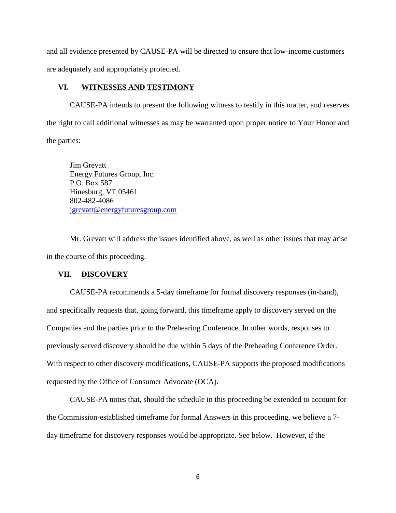and all evidence presented by CAUSE-PA will be directed to ensure that low-income customers are adequately and appropriately protected.

#### **VI. WITNESSES AND TESTIMONY**

CAUSE-PA intends to present the following witness to testify in this matter, and reserves the right to call additional witnesses as may be warranted upon proper notice to Your Honor and the parties:

Jim Grevatt Energy Futures Group, Inc. P.O. Box 587 Hinesburg, VT 05461 802-482-4086 [jgrevatt@energyfuturesgroup.com](mailto:jgrevatt@energyfuturesgroup.com)

Mr. Grevatt will address the issues identified above, as well as other issues that may arise in the course of this proceeding.

#### **VII. DISCOVERY**

CAUSE-PA recommends a 5-day timeframe for formal discovery responses (in-hand), and specifically requests that, going forward, this timeframe apply to discovery served on the Companies and the parties prior to the Prehearing Conference. In other words, responses to previously served discovery should be due within 5 days of the Prehearing Conference Order. With respect to other discovery modifications, CAUSE-PA supports the proposed modifications requested by the Office of Consumer Advocate (OCA).

CAUSE-PA notes that, should the schedule in this proceeding be extended to account for the Commission-established timeframe for formal Answers in this proceeding, we believe a 7 day timeframe for discovery responses would be appropriate. See below. However, if the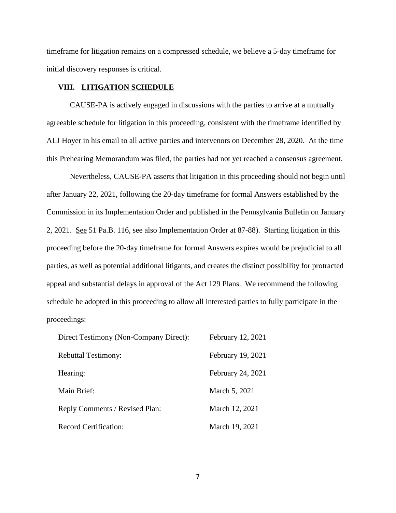timeframe for litigation remains on a compressed schedule, we believe a 5-day timeframe for initial discovery responses is critical.

#### **VIII. LITIGATION SCHEDULE**

CAUSE-PA is actively engaged in discussions with the parties to arrive at a mutually agreeable schedule for litigation in this proceeding, consistent with the timeframe identified by ALJ Hoyer in his email to all active parties and intervenors on December 28, 2020. At the time this Prehearing Memorandum was filed, the parties had not yet reached a consensus agreement.

Nevertheless, CAUSE-PA asserts that litigation in this proceeding should not begin until after January 22, 2021, following the 20-day timeframe for formal Answers established by the Commission in its Implementation Order and published in the Pennsylvania Bulletin on January 2, 2021. See 51 Pa.B. 116, see also Implementation Order at 87-88). Starting litigation in this proceeding before the 20-day timeframe for formal Answers expires would be prejudicial to all parties, as well as potential additional litigants, and creates the distinct possibility for protracted appeal and substantial delays in approval of the Act 129 Plans. We recommend the following schedule be adopted in this proceeding to allow all interested parties to fully participate in the proceedings:

| Direct Testimony (Non-Company Direct): | February 12, 2021 |
|----------------------------------------|-------------------|
| <b>Rebuttal Testimony:</b>             | February 19, 2021 |
| Hearing:                               | February 24, 2021 |
| Main Brief:                            | March 5, 2021     |
| Reply Comments / Revised Plan:         | March 12, 2021    |
| <b>Record Certification:</b>           | March 19, 2021    |

7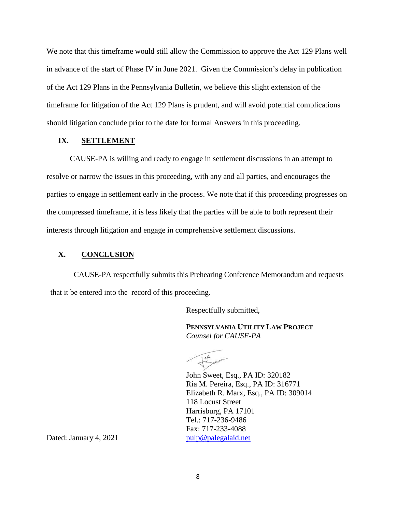We note that this timeframe would still allow the Commission to approve the Act 129 Plans well in advance of the start of Phase IV in June 2021. Given the Commission's delay in publication of the Act 129 Plans in the Pennsylvania Bulletin, we believe this slight extension of the timeframe for litigation of the Act 129 Plans is prudent, and will avoid potential complications should litigation conclude prior to the date for formal Answers in this proceeding.

#### **IX. SETTLEMENT**

CAUSE-PA is willing and ready to engage in settlement discussions in an attempt to resolve or narrow the issues in this proceeding, with any and all parties, and encourages the parties to engage in settlement early in the process. We note that if this proceeding progresses on the compressed timeframe, it is less likely that the parties will be able to both represent their interests through litigation and engage in comprehensive settlement discussions.

## **X. CONCLUSION**

CAUSE-PA respectfully submits this Prehearing Conference Memorandum and requests that it be entered into the record of this proceeding.

Respectfully submitted,

**PENNSYLVANIA UTILITY LAW PROJECT** *Counsel for CAUSE-PA*

John Sweet, Esq., PA ID: 320182 Ria M. Pereira, Esq., PA ID: 316771 Elizabeth R. Marx, Esq., PA ID: 309014 118 Locust Street Harrisburg, PA 17101 Tel.: 717-236-9486 Fax: 717-233-4088

Dated: January 4, 2021 [pulp@palegalaid.net](mailto:pulp@palegalaid.net)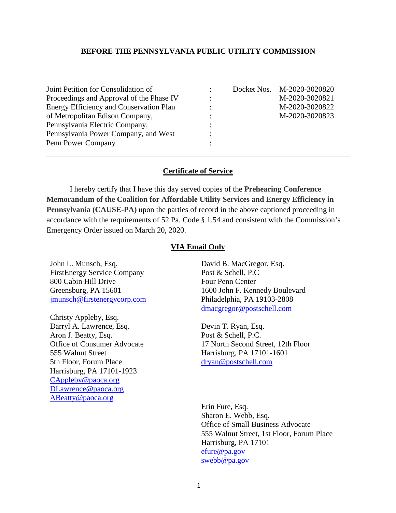## **BEFORE THE PENNSYLVANIA PUBLIC UTILITY COMMISSION**

| Joint Petition for Consolidation of<br>Proceedings and Approval of the Phase IV<br><b>Energy Efficiency and Conservation Plan</b><br>of Metropolitan Edison Company,<br>Pennsylvania Electric Company,<br>Pennsylvania Power Company, and West | ٠<br>٠ | Docket Nos. M-2020-3020820<br>M-2020-3020821<br>M-2020-3020822<br>M-2020-3020823 |
|------------------------------------------------------------------------------------------------------------------------------------------------------------------------------------------------------------------------------------------------|--------|----------------------------------------------------------------------------------|
|                                                                                                                                                                                                                                                |        |                                                                                  |
| Penn Power Company                                                                                                                                                                                                                             |        |                                                                                  |

#### **Certificate of Service**

I hereby certify that I have this day served copies of the **Prehearing Conference Memorandum of the Coalition for Affordable Utility Services and Energy Efficiency in Pennsylvania (CAUSE-PA)** upon the parties of record in the above captioned proceeding in accordance with the requirements of 52 Pa. Code § 1.54 and consistent with the Commission's Emergency Order issued on March 20, 2020.

## **VIA Email Only**

John L. Munsch, Esq. FirstEnergy Service Company 800 Cabin Hill Drive Greensburg, PA 15601 [jmunsch@firstenergycorp.com](mailto:jmunsch@firstenergycorp.com)

Christy Appleby, Esq. Darryl A. Lawrence, Esq. Aron J. Beatty, Esq. Office of Consumer Advocate 555 Walnut Street 5th Floor, Forum Place Harrisburg, PA 17101-1923 [CAppleby@paoca.org](mailto:CAppleby@paoca.org) [DLawrence@paoca.org](mailto:DLawrence@paoca.org) [ABeatty@paoca.org](mailto:ABeatty@paoca.org)

David B. MacGregor, Esq. Post & Schell, P.C Four Penn Center 1600 John F. Kennedy Boulevard Philadelphia, PA 19103-2808 [dmacgregor@postschell.com](mailto:dmacgregor@postschell.com)

Devin T. Ryan, Esq. Post & Schell, P.C. 17 North Second Street, 12th Floor Harrisburg, PA 17101-1601 [dryan@postschell.com](mailto:dryan@postschell.com)

Erin Fure, Esq. Sharon E. Webb, Esq. Office of Small Business Advocate 555 Walnut Street, 1st Floor, Forum Place Harrisburg, PA 17101 [efure@pa.gov](mailto:efure@pa.gov) [swebb@pa.gov](mailto:swebb@pa.gov)